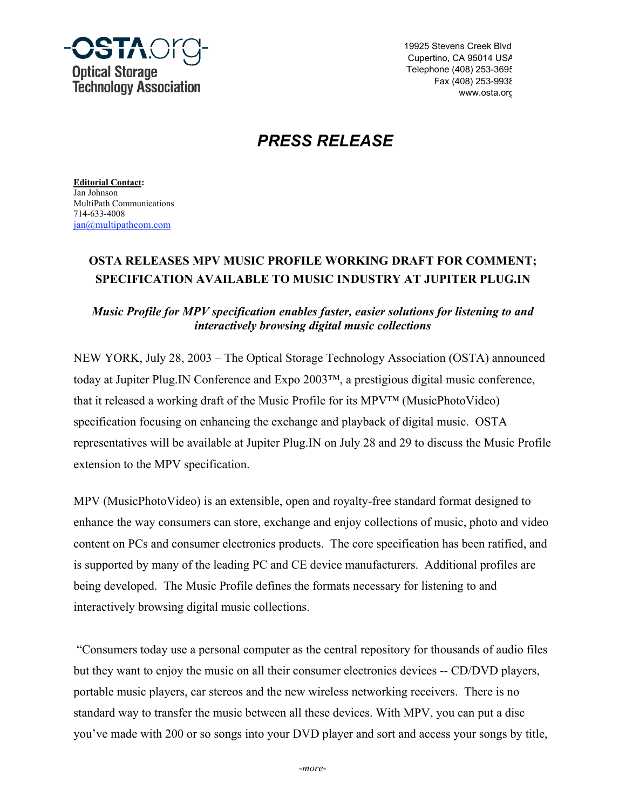

19925 Stevens Creek Blvd. Cupertino, CA 95014 USA Telephone (408) 253-3695 Fax (408) 253-9938 www.osta.org

# *PRESS RELEASE*

**Editorial Contact:** Jan Johnson MultiPath Communications 714-633-4008 jan@multipathcom.com

## **OSTA RELEASES MPV MUSIC PROFILE WORKING DRAFT FOR COMMENT; SPECIFICATION AVAILABLE TO MUSIC INDUSTRY AT JUPITER PLUG.IN**

### *Music Profile for MPV specification enables faster, easier solutions for listening to and interactively browsing digital music collections*

NEW YORK, July 28, 2003 – The Optical Storage Technology Association (OSTA) announced today at Jupiter Plug.IN Conference and Expo 2003™, a prestigious digital music conference, that it released a working draft of the Music Profile for its MPV™ (MusicPhotoVideo) specification focusing on enhancing the exchange and playback of digital music. OSTA representatives will be available at Jupiter Plug.IN on July 28 and 29 to discuss the Music Profile extension to the MPV specification.

MPV (MusicPhotoVideo) is an extensible, open and royalty-free standard format designed to enhance the way consumers can store, exchange and enjoy collections of music, photo and video content on PCs and consumer electronics products. The core specification has been ratified, and is supported by many of the leading PC and CE device manufacturers. Additional profiles are being developed. The Music Profile defines the formats necessary for listening to and interactively browsing digital music collections.

 "Consumers today use a personal computer as the central repository for thousands of audio files but they want to enjoy the music on all their consumer electronics devices -- CD/DVD players, portable music players, car stereos and the new wireless networking receivers. There is no standard way to transfer the music between all these devices. With MPV, you can put a disc you've made with 200 or so songs into your DVD player and sort and access your songs by title,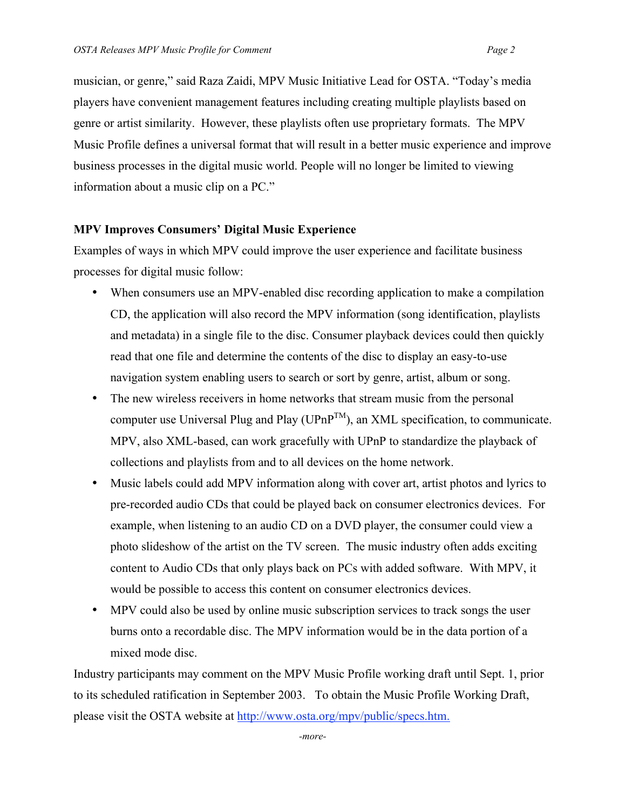musician, or genre," said Raza Zaidi, MPV Music Initiative Lead for OSTA. "Today's media players have convenient management features including creating multiple playlists based on genre or artist similarity. However, these playlists often use proprietary formats. The MPV Music Profile defines a universal format that will result in a better music experience and improve business processes in the digital music world. People will no longer be limited to viewing information about a music clip on a PC."

#### **MPV Improves Consumers' Digital Music Experience**

Examples of ways in which MPV could improve the user experience and facilitate business processes for digital music follow:

When consumers use an MPV-enabled disc recording application to make a compilation CD, the application will also record the MPV information (song identification, playlists and metadata) in a single file to the disc. Consumer playback devices could then quickly read that one file and determine the contents of the disc to display an easy-to-use navigation system enabling users to search or sort by genre, artist, album or song. The new wireless receivers in home networks that stream music from the personal computer use Universal Plug and Play ( $UPnP^{TM}$ ), an XML specification, to communicate. MPV, also XML-based, can work gracefully with UPnP to standardize the playback of collections and playlists from and to all devices on the home network. Music labels could add MPV information along with cover art, artist photos and lyrics to pre-recorded audio CDs that could be played back on consumer electronics devices. For example, when listening to an audio CD on a DVD player, the consumer could view a photo slideshow of the artist on the TV screen. The music industry often adds exciting

content to Audio CDs that only plays back on PCs with added software. With MPV, it would be possible to access this content on consumer electronics devices.

MPV could also be used by online music subscription services to track songs the user burns onto a recordable disc. The MPV information would be in the data portion of a mixed mode disc.

Industry participants may comment on the MPV Music Profile working draft until Sept. 1, prior to its scheduled ratification in September 2003. To obtain the Music Profile Working Draft, please visit the OSTA website at http://www.osta.org/mpv/public/specs.htm.

*-more-*